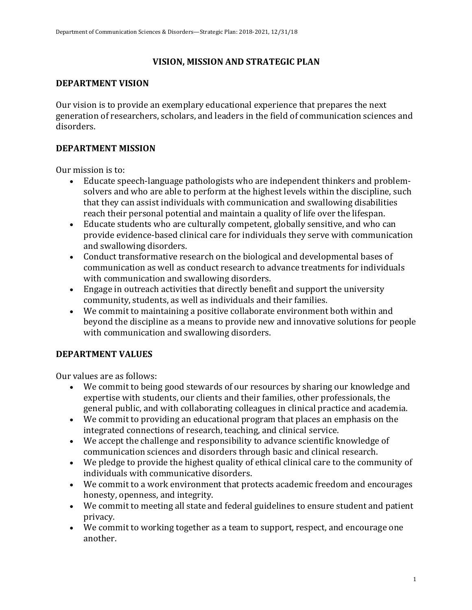# **VISION, MISSION AND STRATEGIC PLAN**

### **DEPARTMENT VISION**

Our vision is to provide an exemplary educational experience that prepares the next generation of researchers, scholars, and leaders in the field of communication sciences and disorders.

# **DEPARTMENT MISSION**

Our mission is to:

- Educate speech-language pathologists who are independent thinkers and problemsolvers and who are able to perform at the highest levels within the discipline, such that they can assist individuals with communication and swallowing disabilities reach their personal potential and maintain a quality of life over the lifespan.
- Educate students who are culturally competent, globally sensitive, and who can provide evidence-based clinical care for individuals they serve with communication and swallowing disorders.
- Conduct transformative research on the biological and developmental bases of communication as well as conduct research to advance treatments for individuals with communication and swallowing disorders.
- Engage in outreach activities that directly benefit and support the university community, students, as well as individuals and their families.
- We commit to maintaining a positive collaborate environment both within and beyond the discipline as a means to provide new and innovative solutions for people with communication and swallowing disorders.

## **DEPARTMENT VALUES**

Our values are as follows:

- We commit to being good stewards of our resources by sharing our knowledge and expertise with students, our clients and their families, other professionals, the general public, and with collaborating colleagues in clinical practice and academia.
- We commit to providing an educational program that places an emphasis on the integrated connections of research, teaching, and clinical service.
- We accept the challenge and responsibility to advance scientific knowledge of communication sciences and disorders through basic and clinical research.
- We pledge to provide the highest quality of ethical clinical care to the community of individuals with communicative disorders.
- We commit to a work environment that protects academic freedom and encourages honesty, openness, and integrity.
- We commit to meeting all state and federal guidelines to ensure student and patient privacy.
- We commit to working together as a team to support, respect, and encourage one another.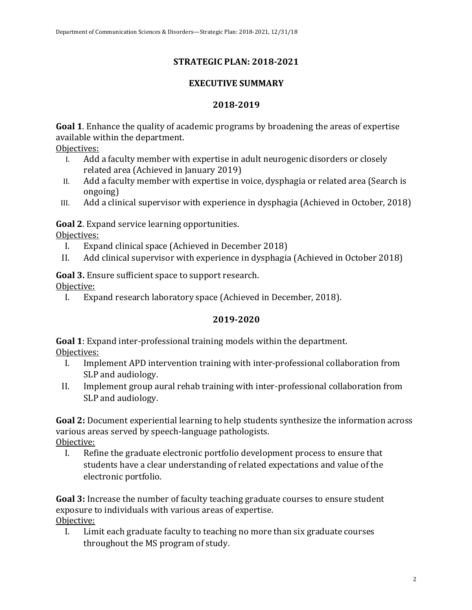# **STRATEGIC PLAN: 2018-2021**

### **EXECUTIVE SUMMARY**

#### **2018-2019**

**Goal 1**. Enhance the quality of academic programs by broadening the areas of expertise available within the department.

Objectives: 

- I. Add a faculty member with expertise in adult neurogenic disorders or closely related area (Achieved in January 2019)
- II. Add a faculty member with expertise in voice, dysphagia or related area (Search is ongoing)
- III. Add a clinical supervisor with experience in dysphagia (Achieved in October, 2018)

**Goal 2.** Expand service learning opportunities.

Objectives: 

- I. Expand clinical space (Achieved in December 2018)
- II. Add clinical supervisor with experience in dysphagia (Achieved in October 2018)

**Goal 3.** Ensure sufficient space to support research.

Objective: 

I. Expand research laboratory space (Achieved in December, 2018).

## **2019-2020**

**Goal 1**: Expand inter-professional training models within the department. Objectives: 

- I. Implement APD intervention training with inter-professional collaboration from SLP and audiology.
- II. Implement group aural rehab training with inter-professional collaboration from SLP and audiology.

**Goal 2:** Document experiential learning to help students synthesize the information across various areas served by speech-language pathologists.

Objective:

I. Refine the graduate electronic portfolio development process to ensure that students have a clear understanding of related expectations and value of the electronic portfolio.

**Goal 3:** Increase the number of faculty teaching graduate courses to ensure student exposure to individuals with various areas of expertise. Objective: 

I. Limit each graduate faculty to teaching no more than six graduate courses throughout the MS program of study.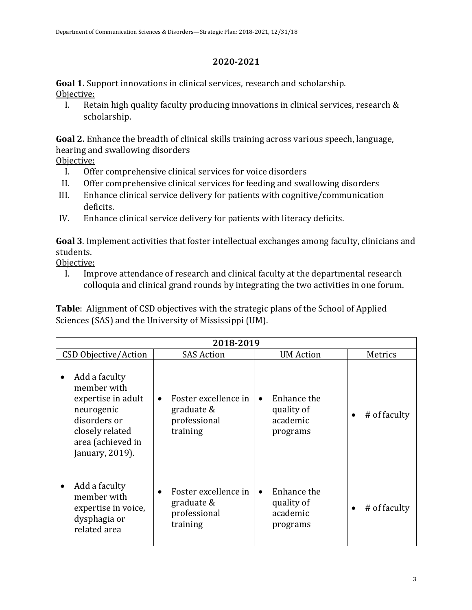#### **2020-2021**

**Goal 1.** Support innovations in clinical services, research and scholarship. Objective:

I. Retain high quality faculty producing innovations in clinical services, research  $&$ scholarship.

**Goal 2.** Enhance the breadth of clinical skills training across various speech, language, hearing and swallowing disorders

- Objective:
	- I. Offer comprehensive clinical services for voice disorders
	- II. Offer comprehensive clinical services for feeding and swallowing disorders
- III. Enhance clinical service delivery for patients with cognitive/communication deficits.
- IV. Enhance clinical service delivery for patients with literacy deficits.

Goal 3. Implement activities that foster intellectual exchanges among faculty, clinicians and students.

Objective:

I. Improve attendance of research and clinical faculty at the departmental research colloquia and clinical grand rounds by integrating the two activities in one forum.

**Table**: Alignment of CSD objectives with the strategic plans of the School of Applied Sciences (SAS) and the University of Mississippi (UM).

| 2018-2019                                                                                                                                        |                                                                             |                                                                |                   |  |
|--------------------------------------------------------------------------------------------------------------------------------------------------|-----------------------------------------------------------------------------|----------------------------------------------------------------|-------------------|--|
| CSD Objective/Action                                                                                                                             | <b>SAS Action</b>                                                           | <b>UM</b> Action                                               | Metrics           |  |
| Add a faculty<br>٠<br>member with<br>expertise in adult<br>neurogenic<br>disorders or<br>closely related<br>area (achieved in<br>January, 2019). | Foster excellence in<br>$\bullet$<br>graduate &<br>professional<br>training | Enhance the<br>$\bullet$<br>quality of<br>academic<br>programs | # of faculty<br>٠ |  |
| Add a faculty<br>member with<br>expertise in voice,<br>dysphagia or<br>related area                                                              | Foster excellence in<br>$\bullet$<br>graduate &<br>professional<br>training | Enhance the<br>$\bullet$<br>quality of<br>academic<br>programs | # of faculty      |  |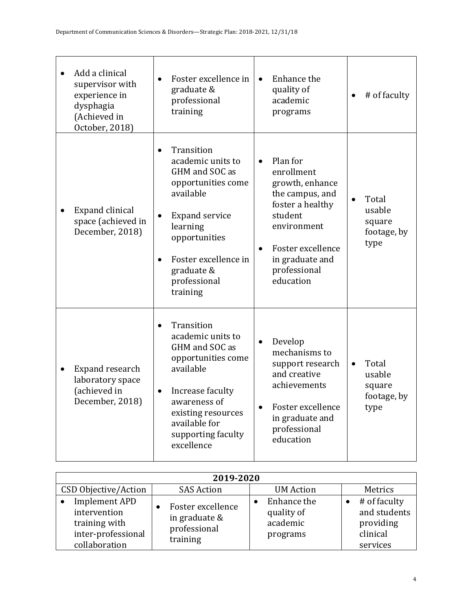| Add a clinical<br>supervisor with<br>experience in<br>dysphagia<br>(Achieved in<br>October, 2018) | Foster excellence in<br>graduate &<br>professional<br>training                                                                                                                                                            | Enhance the<br>$\bullet$<br>quality of<br>academic<br>programs                                                                                                                               | # of faculty<br>$\bullet$                                     |
|---------------------------------------------------------------------------------------------------|---------------------------------------------------------------------------------------------------------------------------------------------------------------------------------------------------------------------------|----------------------------------------------------------------------------------------------------------------------------------------------------------------------------------------------|---------------------------------------------------------------|
| Expand clinical<br>space (achieved in<br>December, 2018)                                          | Transition<br>$\bullet$<br>academic units to<br>GHM and SOC as<br>opportunities come<br>available<br><b>Expand service</b><br>learning<br>opportunities<br>Foster excellence in<br>graduate &<br>professional<br>training | Plan for<br>$\bullet$<br>enrollment<br>growth, enhance<br>the campus, and<br>foster a healthy<br>student<br>environment<br>Foster excellence<br>in graduate and<br>professional<br>education | Total<br>usable<br>square<br>footage, by<br>type              |
| Expand research<br>laboratory space<br>(achieved in<br>December, 2018)                            | Transition<br>$\bullet$<br>academic units to<br>GHM and SOC as<br>opportunities come<br>available<br>Increase faculty<br>٠<br>awareness of<br>existing resources<br>available for<br>supporting faculty<br>excellence     | Develop<br>$\bullet$<br>mechanisms to<br>support research<br>and creative<br>achievements<br>Foster excellence<br>in graduate and<br>professional<br>education                               | Total<br>$\bullet$<br>usable<br>square<br>footage, by<br>type |

| 2019-2020                                                                                    |                                                                |                                                   |                                                                   |  |
|----------------------------------------------------------------------------------------------|----------------------------------------------------------------|---------------------------------------------------|-------------------------------------------------------------------|--|
| CSD Objective/Action                                                                         | <b>SAS Action</b>                                              | <b>UM</b> Action                                  | Metrics                                                           |  |
| <b>Implement APD</b><br>intervention<br>training with<br>inter-professional<br>collaboration | Foster excellence<br>in graduate &<br>professional<br>training | Enhance the<br>quality of<br>academic<br>programs | # of faculty<br>and students<br>providing<br>clinical<br>services |  |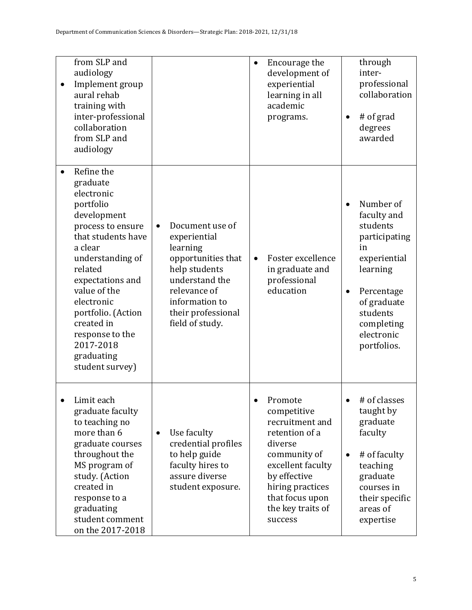| $\bullet$ | from SLP and<br>audiology<br>Implement group<br>aural rehab<br>training with<br>inter-professional<br>collaboration<br>from SLP and<br>audiology                                                                                                                                                             |                                                                                                                                                                                 | $\bullet$ | Encourage the<br>development of<br>experiential<br>learning in all<br>academic<br>programs.                                                                                                        |                | through<br>inter-<br>professional<br>collaboration<br># of grad<br>degrees<br>awarded                                                                                       |
|-----------|--------------------------------------------------------------------------------------------------------------------------------------------------------------------------------------------------------------------------------------------------------------------------------------------------------------|---------------------------------------------------------------------------------------------------------------------------------------------------------------------------------|-----------|----------------------------------------------------------------------------------------------------------------------------------------------------------------------------------------------------|----------------|-----------------------------------------------------------------------------------------------------------------------------------------------------------------------------|
|           | Refine the<br>graduate<br>electronic<br>portfolio<br>development<br>process to ensure<br>that students have<br>a clear<br>understanding of<br>related<br>expectations and<br>value of the<br>electronic<br>portfolio. (Action<br>created in<br>response to the<br>2017-2018<br>graduating<br>student survey) | Document use of<br>experiential<br>learning<br>opportunities that<br>help students<br>understand the<br>relevance of<br>information to<br>their professional<br>field of study. | $\bullet$ | Foster excellence<br>in graduate and<br>professional<br>education                                                                                                                                  | $\bullet$<br>٠ | Number of<br>faculty and<br>students<br>participating<br>in<br>experiential<br>learning<br>Percentage<br>of graduate<br>students<br>completing<br>electronic<br>portfolios. |
|           | Limit each<br>graduate faculty<br>to teaching no<br>more than 6<br>graduate courses<br>throughout the<br>MS program of<br>study. (Action<br>created in<br>response to a<br>graduating<br>student comment<br>on the 2017-2018                                                                                 | Use faculty<br>$\bullet$<br>credential profiles<br>to help guide<br>faculty hires to<br>assure diverse<br>student exposure.                                                     |           | Promote<br>competitive<br>recruitment and<br>retention of a<br>diverse<br>community of<br>excellent faculty<br>by effective<br>hiring practices<br>that focus upon<br>the key traits of<br>success | $\bullet$      | # of classes<br>taught by<br>graduate<br>faculty<br># of faculty<br>teaching<br>graduate<br>courses in<br>their specific<br>areas of<br>expertise                           |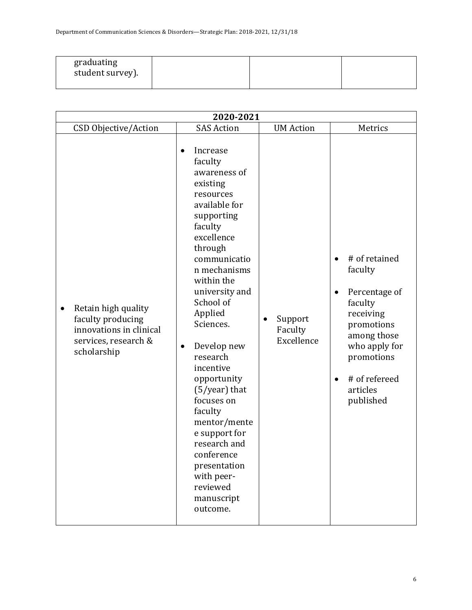| graduating<br>student survey). |  |  |  |
|--------------------------------|--|--|--|
|--------------------------------|--|--|--|

| 2020-2021                                                                                                  |                                                                                                                                                                                                                                                                                                                                                                                                                                                                            |                                               |                                                                                                                                                                                                                |  |  |  |
|------------------------------------------------------------------------------------------------------------|----------------------------------------------------------------------------------------------------------------------------------------------------------------------------------------------------------------------------------------------------------------------------------------------------------------------------------------------------------------------------------------------------------------------------------------------------------------------------|-----------------------------------------------|----------------------------------------------------------------------------------------------------------------------------------------------------------------------------------------------------------------|--|--|--|
| CSD Objective/Action                                                                                       | <b>SAS Action</b>                                                                                                                                                                                                                                                                                                                                                                                                                                                          | <b>UM</b> Action                              | Metrics                                                                                                                                                                                                        |  |  |  |
| Retain high quality<br>faculty producing<br>innovations in clinical<br>services, research &<br>scholarship | Increase<br>faculty<br>awareness of<br>existing<br>resources<br>available for<br>supporting<br>faculty<br>excellence<br>through<br>communicatio<br>n mechanisms<br>within the<br>university and<br>School of<br>Applied<br>Sciences.<br>Develop new<br>research<br>incentive<br>opportunity<br>$(5/year)$ that<br>focuses on<br>faculty<br>mentor/mente<br>e support for<br>research and<br>conference<br>presentation<br>with peer-<br>reviewed<br>manuscript<br>outcome. | Support<br>$\bullet$<br>Faculty<br>Excellence | # of retained<br>$\bullet$<br>faculty<br>Percentage of<br>$\bullet$<br>faculty<br>receiving<br>promotions<br>among those<br>who apply for<br>promotions<br># of refereed<br>$\bullet$<br>articles<br>published |  |  |  |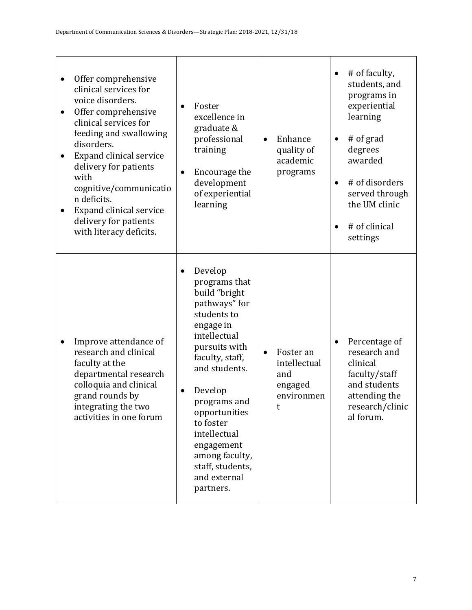| Offer comprehensive<br>$\bullet$<br>clinical services for<br>voice disorders.<br>Offer comprehensive<br>$\bullet$<br>clinical services for<br>feeding and swallowing<br>disorders.<br>Expand clinical service<br>delivery for patients<br>with<br>cognitive/communicatio<br>n deficits.<br>Expand clinical service<br>٠<br>delivery for patients<br>with literacy deficits. | Foster<br>$\bullet$<br>excellence in<br>graduate &<br>professional<br>training<br>Encourage the<br>٠<br>development<br>of experiential<br>learning                                                                                                                                                                    | Enhance<br>$\bullet$<br>quality of<br>academic<br>programs                  | # of faculty,<br>students, and<br>programs in<br>experiential<br>learning<br># of grad<br>$\bullet$<br>degrees<br>awarded<br># of disorders<br>$\bullet$<br>served through<br>the UM clinic<br># of clinical<br>$\bullet$<br>settings |
|-----------------------------------------------------------------------------------------------------------------------------------------------------------------------------------------------------------------------------------------------------------------------------------------------------------------------------------------------------------------------------|-----------------------------------------------------------------------------------------------------------------------------------------------------------------------------------------------------------------------------------------------------------------------------------------------------------------------|-----------------------------------------------------------------------------|---------------------------------------------------------------------------------------------------------------------------------------------------------------------------------------------------------------------------------------|
| Improve attendance of<br>research and clinical<br>faculty at the<br>departmental research<br>colloquia and clinical<br>grand rounds by<br>integrating the two<br>activities in one forum                                                                                                                                                                                    | Develop<br>programs that<br>build "bright<br>pathways" for<br>students to<br>engage in<br>intellectual<br>pursuits with<br>faculty, staff,<br>and students.<br>Develop<br>programs and<br>opportunities<br>to foster<br>intellectual<br>engagement<br>among faculty,<br>staff, students,<br>and external<br>partners. | Foster an<br>$\bullet$<br>intellectual<br>and<br>engaged<br>environmen<br>t | Percentage of<br>$\bullet$<br>research and<br>clinical<br>faculty/staff<br>and students<br>attending the<br>research/clinic<br>al forum.                                                                                              |